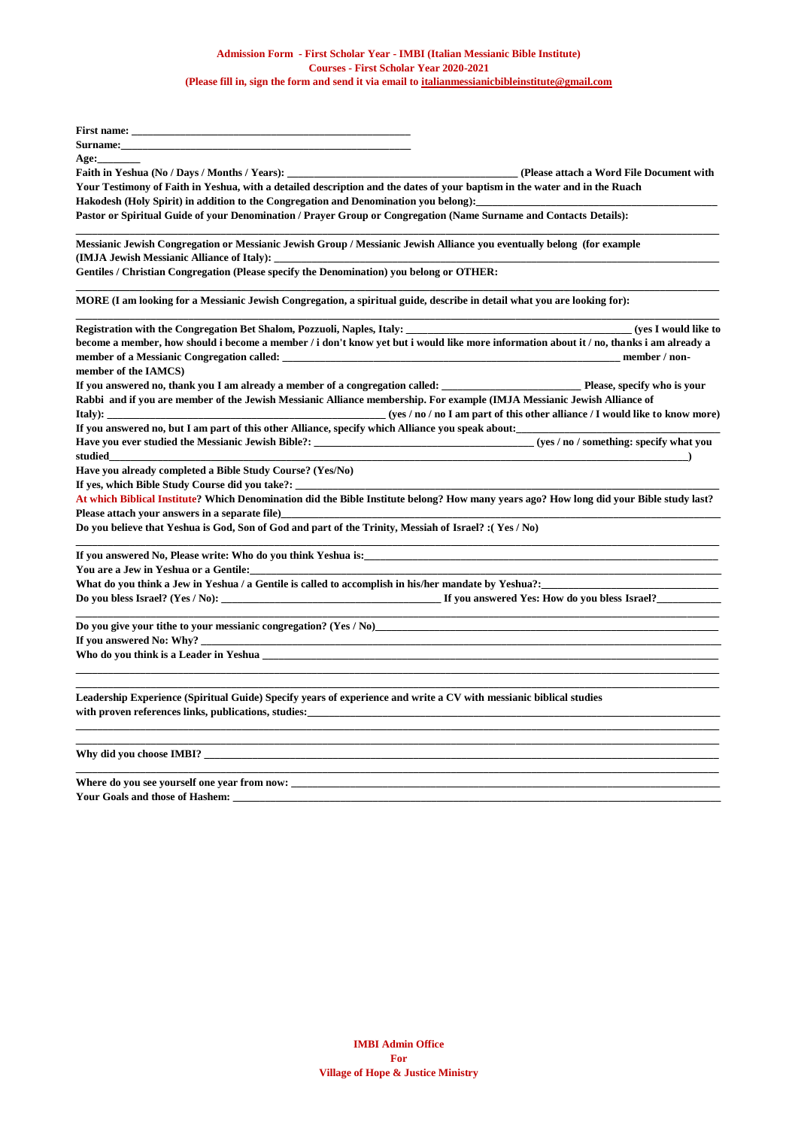| First name: The contract of the contract of the contract of the contract of the contract of the contract of the contract of the contract of the contract of the contract of the contract of the contract of the contract of th                                                                                                           |  |  |
|------------------------------------------------------------------------------------------------------------------------------------------------------------------------------------------------------------------------------------------------------------------------------------------------------------------------------------------|--|--|
| Surname:                                                                                                                                                                                                                                                                                                                                 |  |  |
| Age:                                                                                                                                                                                                                                                                                                                                     |  |  |
| Faith in Yeshua (No / Days / Months / Years):<br>(Please attach a Word File Document with                                                                                                                                                                                                                                                |  |  |
| Your Testimony of Faith in Yeshua, with a detailed description and the dates of your baptism in the water and in the Ruach<br>Hakodesh (Holy Spirit) in addition to the Congregation and Denomination you belong):<br>Pastor or Spiritual Guide of your Denomination / Prayer Group or Congregation (Name Surname and Contacts Details): |  |  |
|                                                                                                                                                                                                                                                                                                                                          |  |  |
| Gentiles / Christian Congregation (Please specify the Denomination) you belong or OTHER:                                                                                                                                                                                                                                                 |  |  |
| MORE (I am looking for a Messianic Jewish Congregation, a spiritual guide, describe in detail what you are looking for):                                                                                                                                                                                                                 |  |  |
| Registration with the Congregation Bet Shalom, Pozzuoli, Naples, Italy:<br>(yes I would like to                                                                                                                                                                                                                                          |  |  |
| become a member, how should i become a member / i don't know yet but i would like more information about it / no, thanks i am already a                                                                                                                                                                                                  |  |  |
| member / non-                                                                                                                                                                                                                                                                                                                            |  |  |
| member of the IAMCS)                                                                                                                                                                                                                                                                                                                     |  |  |
| If you answered no, thank you I am already a member of a congregation called: Please, specify who is your                                                                                                                                                                                                                                |  |  |
| Rabbi and if you are member of the Jewish Messianic Alliance membership. For example (IMJA Messianic Jewish Alliance of                                                                                                                                                                                                                  |  |  |
| $(yes / no / no I am part of this other alliance / I would like to know more)$<br>Italy): $\qquad \qquad$                                                                                                                                                                                                                                |  |  |
| If you answered no, but I am part of this other Alliance, specify which Alliance you speak about:                                                                                                                                                                                                                                        |  |  |
| studied                                                                                                                                                                                                                                                                                                                                  |  |  |
| Have you already completed a Bible Study Course? (Yes/No)                                                                                                                                                                                                                                                                                |  |  |
| If yes, which Bible Study Course did you take?: _________________________________                                                                                                                                                                                                                                                        |  |  |
| At which Biblical Institute? Which Denomination did the Bible Institute belong? How many years ago? How long did your Bible study last?<br>Please attach your answers in a separate file)                                                                                                                                                |  |  |
| Do you believe that Yeshua is God, Son of God and part of the Trinity, Messiah of Israel? : (Yes / No)                                                                                                                                                                                                                                   |  |  |
| If you answered No, Please write: Who do you think Yeshua is:                                                                                                                                                                                                                                                                            |  |  |
| You are a Jew in Yeshua or a Gentile:                                                                                                                                                                                                                                                                                                    |  |  |
| What do you think a Jew in Yeshua / a Gentile is called to accomplish in his/her mandate by Yeshua?:                                                                                                                                                                                                                                     |  |  |
|                                                                                                                                                                                                                                                                                                                                          |  |  |
| Do you give your tithe to your messianic congregation? (Yes / No)                                                                                                                                                                                                                                                                        |  |  |
| If you answered No: Why?<br><u> 1980 - Johann John Stone, market fan it ferstjer fan de fan it ferstjer fan it ferstjer fan it ferstjer fan i</u>                                                                                                                                                                                        |  |  |
| Who do you think is a Leader in Yeshua has a state of the state of the state of the state of the state of the state of the state of the state of the state of the state of the state of the state of the state of the state of                                                                                                           |  |  |
| Leadership Experience (Spiritual Guide) Specify years of experience and write a CV with messianic biblical studies                                                                                                                                                                                                                       |  |  |
| with proven references links, publications, studies: <b>Example 2018</b> and 2019 and 2019 and 2019 and 2019 and 2019 and 2019 and 2019 and 2019 and 2019 and 2019 and 2019 and 2019 and 2019 and 2019 and 2019 and 2019 and 2019 a                                                                                                      |  |  |
|                                                                                                                                                                                                                                                                                                                                          |  |  |
|                                                                                                                                                                                                                                                                                                                                          |  |  |

Where do you see yourself one year from now: \_ Your Goals and those of Hashem: \_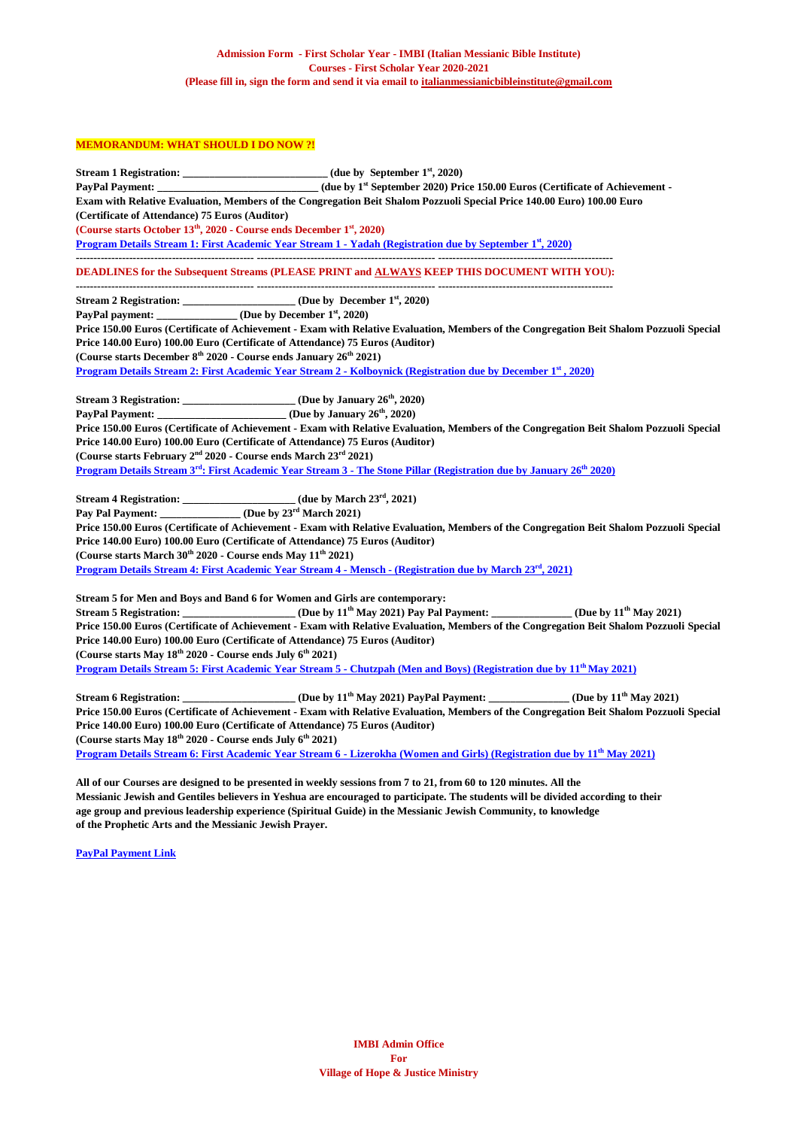## **MEMORANDUM: WHAT SHOULD I DO NOW ?!**

|                                                                                               | Stream 1 Registration: _______________________________(due by September 1 <sup>st</sup> , 2020)                                                     |
|-----------------------------------------------------------------------------------------------|-----------------------------------------------------------------------------------------------------------------------------------------------------|
|                                                                                               | PayPal Payment: (due by 1 <sup>st</sup> September 2020) Price 150.00 Euros (Certificate of Achievement -                                            |
|                                                                                               | Exam with Relative Evaluation, Members of the Congregation Beit Shalom Pozzuoli Special Price 140.00 Euro) 100.00 Euro                              |
| (Certificate of Attendance) 75 Euros (Auditor)                                                |                                                                                                                                                     |
| (Course starts October 13 <sup>th</sup> , 2020 - Course ends December 1 <sup>st</sup> , 2020) |                                                                                                                                                     |
|                                                                                               | Program Details Stream 1: First Academic Year Stream 1 - Yadah (Registration due by September 1st, 2020)                                            |
|                                                                                               | <b>DEADLINES for the Subsequent Streams (PLEASE PRINT and ALWAYS KEEP THIS DOCUMENT WITH YOU):</b>                                                  |
|                                                                                               | Stream 2 Registration: _____________________ (Due by December 1 <sup>st</sup> , 2020)                                                               |
| PayPal payment: _____________ (Due by December 1 <sup>st</sup> , 2020)                        |                                                                                                                                                     |
|                                                                                               | Price 150.00 Euros (Certificate of Achievement - Exam with Relative Evaluation, Members of the Congregation Beit Shalom Pozzuoli Special            |
|                                                                                               | Price 140.00 Euro) 100.00 Euro (Certificate of Attendance) 75 Euros (Auditor)                                                                       |
| (Course starts December 8 <sup>th</sup> 2020 - Course ends January 26 <sup>th</sup> 2021)     |                                                                                                                                                     |
|                                                                                               | Program Details Stream 2: First Academic Year Stream 2 - Kolboynick (Registration due by December 1st, 2020)                                        |
|                                                                                               | Stream 3 Registration: _______________________ (Due by January 26 <sup>th</sup> , 2020)                                                             |
|                                                                                               |                                                                                                                                                     |
|                                                                                               | Price 150.00 Euros (Certificate of Achievement - Exam with Relative Evaluation, Members of the Congregation Beit Shalom Pozzuoli Special            |
|                                                                                               | Price 140.00 Euro) 100.00 Euro (Certificate of Attendance) 75 Euros (Auditor)                                                                       |
| (Course starts February 2 <sup>nd</sup> 2020 - Course ends March 23 <sup>rd</sup> 2021)       |                                                                                                                                                     |
|                                                                                               | Program Details Stream 3 <sup>rd</sup> : First Academic Year Stream 3 - The Stone Pillar (Registration due by January 26 <sup>th</sup> 2020)        |
|                                                                                               |                                                                                                                                                     |
|                                                                                               | Stream 4 Registration: (due by March 23 <sup>rd</sup> , 2021)<br>Pay Pal Payment: ______________(Due by 23 <sup>rd</sup> March 2021)                |
|                                                                                               | Price 150.00 Euros (Certificate of Achievement - Exam with Relative Evaluation, Members of the Congregation Beit Shalom Pozzuoli Special            |
|                                                                                               | Price 140.00 Euro) 100.00 Euro (Certificate of Attendance) 75 Euros (Auditor)                                                                       |
| (Course starts March 30 <sup>th</sup> 2020 - Course ends May 11 <sup>th</sup> 2021)           |                                                                                                                                                     |
|                                                                                               | Program Details Stream 4: First Academic Year Stream 4 - Mensch - (Registration due by March 23rd, 2021)                                            |
|                                                                                               | Stream 5 for Men and Boys and Band 6 for Women and Girls are contemporary:                                                                          |
|                                                                                               | Stream 5 Registration: ______________________ (Due by 11 <sup>th</sup> May 2021) Pay Pal Payment: ______________ (Due by 11 <sup>th</sup> May 2021) |
|                                                                                               | Price 150.00 Euros (Certificate of Achievement - Exam with Relative Evaluation, Members of the Congregation Beit Shalom Pozzuoli Special            |
|                                                                                               | Price 140.00 Euro) 100.00 Euro (Certificate of Attendance) 75 Euros (Auditor)                                                                       |
| (Course starts May 18 <sup>th</sup> 2020 - Course ends July 6 <sup>th</sup> 2021)             |                                                                                                                                                     |
|                                                                                               | Program Details Stream 5: First Academic Year Stream 5 - Chutzpah (Men and Boys) (Registration due by 11 <sup>th</sup> May 2021)                    |
|                                                                                               | Stream 6 Registration: ___________________(Due by 11 <sup>th</sup> May 2021) PayPal Payment: ____________(Due by 11 <sup>th</sup> May 2021)         |
|                                                                                               | Price 150.00 Euros (Certificate of Achievement - Exam with Relative Evaluation, Members of the Congregation Beit Shalom Pozzuoli Special            |
|                                                                                               | Price 140.00 Euro) 100.00 Euro (Certificate of Attendance) 75 Euros (Auditor)                                                                       |
| (Course starts May 18 <sup>th</sup> 2020 - Course ends July 6 <sup>th</sup> 2021)             |                                                                                                                                                     |
|                                                                                               | Program Details Stream 6: First Academic Year Stream 6 - Lizerokha (Women and Girls) (Registration due by 11 <sup>th</sup> May 2021)                |
|                                                                                               |                                                                                                                                                     |

**All of our Courses are designed to be presented in weekly sessions from 7 to 21, from 60 to 120 minutes. All the Messianic Jewish and Gentiles believers in Yeshua are encouraged to participate. The students will be divided according to their age group and previous leadership experience (Spiritual Guide) in the Messianic Jewish Community, to knowledge of the Prophetic Arts and the Messianic Jewish Prayer.**

**PayPal [Payment Link](https://www.paypal.com/donate/?token=u8LLKehYmruPRxkLPLhczv2p6Rv0hW0MerE3IRvI95dLGT1xw_6yCZKS5nx0iVcIQHDW9W&country.x=IT&locale.x=IT)**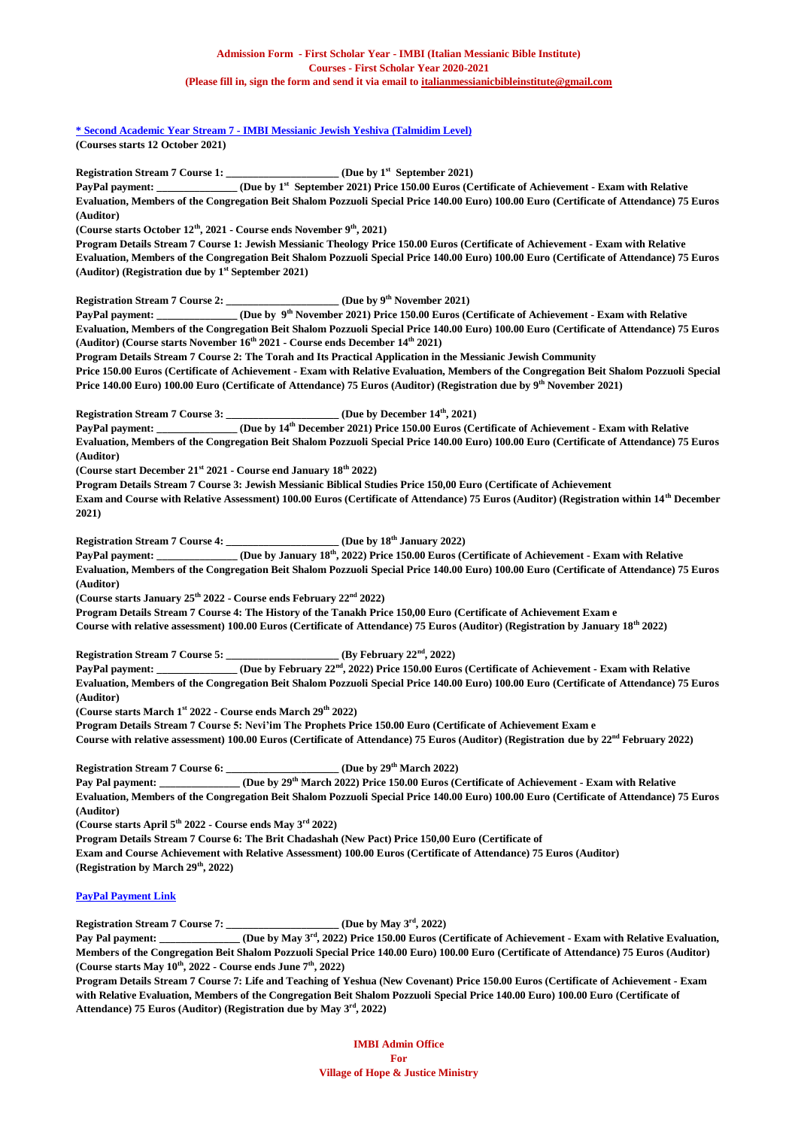**\* Second Academic Year Stream 7 - [IMBI Messianic Jewish Yeshiva \(Talmidim Level\)](https://villageofhopejusticeministry.files.wordpress.com/2020/07/first-year-2020-2021-stream-7-e28093-imbi-messianic-jewish-yeshiva-talmidim-level.pdf) (Courses starts 12 October 2021)**

**Registration Stream 7 Course 1:** (Due by 1<sup>st</sup> September 2021)

**PayPal payment: \_\_\_\_\_\_\_\_\_\_\_\_\_\_\_ (Due by 1st September 2021) Price 150.00 Euros (Certificate of Achievement - Exam with Relative Evaluation, Members of the Congregation Beit Shalom Pozzuoli Special Price 140.00 Euro) 100.00 Euro (Certificate of Attendance) 75 Euros (Auditor)**

**(Course starts October 12th, 2021 - Course ends November 9th, 2021)**

**Program Details Stream 7 Course 1: Jewish Messianic Theology Price 150.00 Euros (Certificate of Achievement - Exam with Relative Evaluation, Members of the Congregation Beit Shalom Pozzuoli Special Price 140.00 Euro) 100.00 Euro (Certificate of Attendance) 75 Euros (Auditor) (Registration due by 1 st September 2021)**

**Registration Stream 7 Course 2: \_\_\_\_\_\_\_\_\_\_\_\_\_\_\_\_\_\_\_\_\_ (Due by 9th November 2021)**

**PayPal** payment: \_ **th November 2021) Price 150.00 Euros (Certificate of Achievement - Exam with Relative Evaluation, Members of the Congregation Beit Shalom Pozzuoli Special Price 140.00 Euro) 100.00 Euro (Certificate of Attendance) 75 Euros (Auditor) (Course starts November 16th 2021 - Course ends December 14th 2021)**

**Program Details Stream 7 Course 2: The Torah and Its Practical Application in the Messianic Jewish Community Price 150.00 Euros (Certificate of Achievement - Exam with Relative Evaluation, Members of the Congregation Beit Shalom Pozzuoli Special Price 140.00 Euro) 100.00 Euro (Certificate of Attendance) 75 Euros (Auditor) (Registration due by 9 th November 2021)**

**Registration Stream 7 Course 3: \_\_\_\_\_\_\_\_\_\_\_\_\_\_\_\_\_\_\_\_\_ (Due by December 14th, 2021)**

**PayPal payment: \_\_\_\_\_\_\_\_\_\_\_\_\_\_\_ (Due by 14th December 2021) Price 150.00 Euros (Certificate of Achievement - Exam with Relative Evaluation, Members of the Congregation Beit Shalom Pozzuoli Special Price 140.00 Euro) 100.00 Euro (Certificate of Attendance) 75 Euros (Auditor)**

**(Course start December 21st 2021 - Course end January 18th 2022)**

**Program Details Stream 7 Course 3: Jewish Messianic Biblical Studies Price 150,00 Euro (Certificate of Achievement Exam and Course with Relative Assessment) 100.00 Euros (Certificate of Attendance) 75 Euros (Auditor) (Registration within 14th December** 

**2021)**

**Registration Stream 7 Course 4: \_\_\_\_\_\_\_\_\_\_\_\_\_\_\_\_\_\_\_\_\_ (Due by 18th January 2022)**

**PayPal payment: \_\_\_\_\_\_\_\_\_\_\_\_\_\_\_ (Due by January 18th, 2022) Price 150.00 Euros (Certificate of Achievement - Exam with Relative Evaluation, Members of the Congregation Beit Shalom Pozzuoli Special Price 140.00 Euro) 100.00 Euro (Certificate of Attendance) 75 Euros (Auditor)**

**(Course starts January 25th 2022 - Course ends February 22nd 2022)**

**Program Details Stream 7 Course 4: The History of the Tanakh Price 150,00 Euro (Certificate of Achievement Exam e Course with relative assessment) 100.00 Euros (Certificate of Attendance) 75 Euros (Auditor) (Registration by January 18th 2022)**

**Registration Stream 7 Course 5: \_\_\_\_\_\_\_\_\_\_\_\_\_\_\_\_\_\_\_\_\_ (By February 22nd, 2022)**

**PayPal payment: \_\_\_\_\_\_\_\_\_\_\_\_\_\_\_ (Due by February 22nd, 2022) Price 150.00 Euros (Certificate of Achievement - Exam with Relative Evaluation, Members of the Congregation Beit Shalom Pozzuoli Special Price 140.00 Euro) 100.00 Euro (Certificate of Attendance) 75 Euros (Auditor)**

**(Course starts March 1st 2022 - Course ends March 29th 2022)**

**Program Details Stream 7 Course 5: Nevi'im The Prophets Price 150.00 Euro (Certificate of Achievement Exam e Course with relative assessment) 100.00 Euros (Certificate of Attendance) 75 Euros (Auditor) (Registration due by 22nd February 2022)**

**Registration Stream 7 Course 6: \_\_\_\_\_\_\_\_\_\_\_\_\_\_\_\_\_\_\_\_\_ (Due by 29th March 2022)**

**Pay Pal payment: \_\_\_\_\_\_\_\_\_\_\_\_\_\_\_ (Due by 29th March 2022) Price 150.00 Euros (Certificate of Achievement - Exam with Relative Evaluation, Members of the Congregation Beit Shalom Pozzuoli Special Price 140.00 Euro) 100.00 Euro (Certificate of Attendance) 75 Euros (Auditor)**

**(Course starts April 5th 2022 - Course ends May 3rd 2022)**

**Program Details Stream 7 Course 6: The Brit Chadashah (New Pact) Price 150,00 Euro (Certificate of Exam and Course Achievement with Relative Assessment) 100.00 Euros (Certificate of Attendance) 75 Euros (Auditor) (Registration by March 29th, 2022)**

## **[PayPal Payment Link](https://www.paypal.com/donate/?token=u8LLKehYmruPRxkLPLhczv2p6Rv0hW0MerE3IRvI95dLGT1xw_6yCZKS5nx0iVcIQHDW9W&country.x=IT&locale.x=IT)**

**Registration Stream 7 Course 7: \_\_\_\_\_\_\_\_\_\_\_\_\_\_\_\_\_\_\_\_\_ (Due by May 3rd, 2022)**

**Pay Pal payment: \_\_\_\_\_\_\_\_\_\_\_\_\_\_\_ (Due by May 3rd, 2022) Price 150.00 Euros (Certificate of Achievement - Exam with Relative Evaluation, Members of the Congregation Beit Shalom Pozzuoli Special Price 140.00 Euro) 100.00 Euro (Certificate of Attendance) 75 Euros (Auditor) (Course starts May 10th, 2022 - Course ends June 7th, 2022)**

**Program Details Stream 7 Course 7: Life and Teaching of Yeshua (New Covenant) Price 150.00 Euros (Certificate of Achievement - Exam with Relative Evaluation, Members of the Congregation Beit Shalom Pozzuoli Special Price 140.00 Euro) 100.00 Euro (Certificate of Attendance) 75 Euros (Auditor) (Registration due by May 3rd, 2022)**

> **IMBI Admin Office For Village of Hope & Justice Ministry**